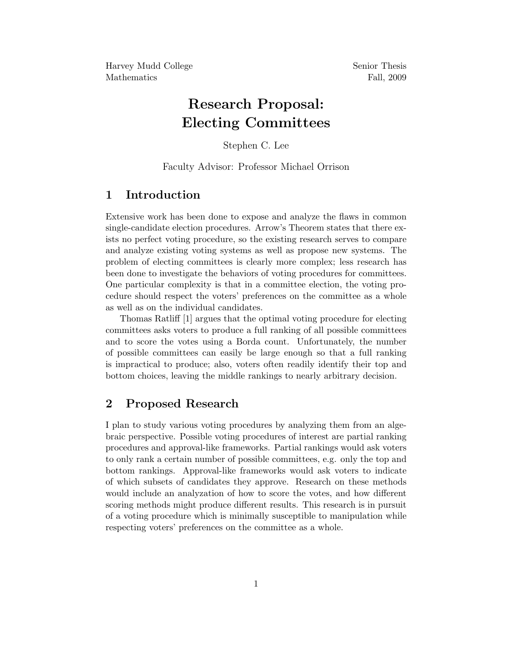Harvey Mudd College Senior Thesis Mathematics Fall, 2009

# Research Proposal: Electing Committees

Stephen C. Lee

Faculty Advisor: Professor Michael Orrison

## 1 Introduction

Extensive work has been done to expose and analyze the flaws in common single-candidate election procedures. Arrow's Theorem states that there exists no perfect voting procedure, so the existing research serves to compare and analyze existing voting systems as well as propose new systems. The problem of electing committees is clearly more complex; less research has been done to investigate the behaviors of voting procedures for committees. One particular complexity is that in a committee election, the voting procedure should respect the voters' preferences on the committee as a whole as well as on the individual candidates.

Thomas Ratliff [1] argues that the optimal voting procedure for electing committees asks voters to produce a full ranking of all possible committees and to score the votes using a Borda count. Unfortunately, the number of possible committees can easily be large enough so that a full ranking is impractical to produce; also, voters often readily identify their top and bottom choices, leaving the middle rankings to nearly arbitrary decision.

#### 2 Proposed Research

I plan to study various voting procedures by analyzing them from an algebraic perspective. Possible voting procedures of interest are partial ranking procedures and approval-like frameworks. Partial rankings would ask voters to only rank a certain number of possible committees, e.g. only the top and bottom rankings. Approval-like frameworks would ask voters to indicate of which subsets of candidates they approve. Research on these methods would include an analyzation of how to score the votes, and how different scoring methods might produce different results. This research is in pursuit of a voting procedure which is minimally susceptible to manipulation while respecting voters' preferences on the committee as a whole.